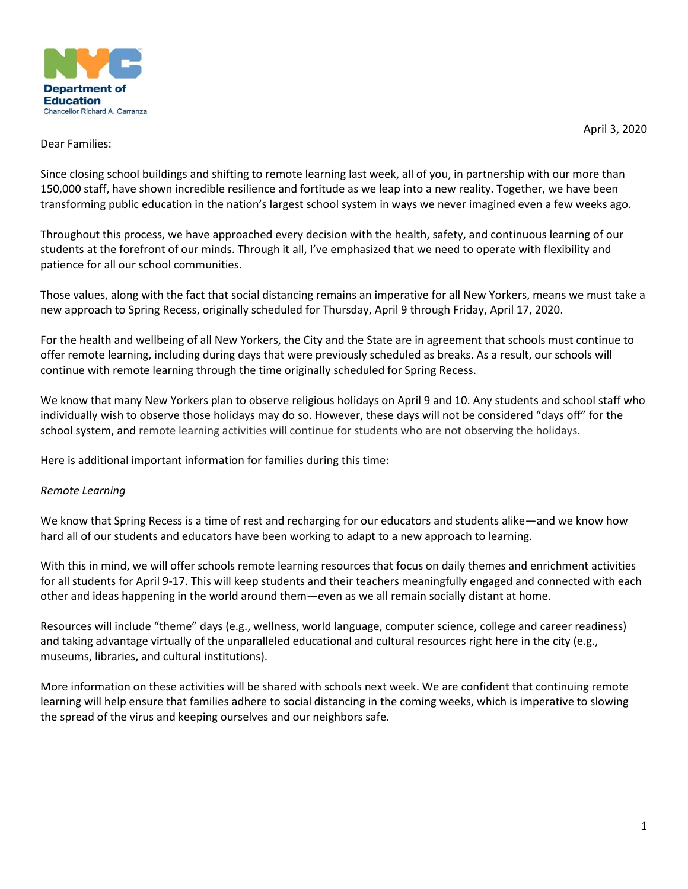

April 3, 2020

## Dear Families:

Since closing school buildings and shifting to remote learning last week, all of you, in partnership with our more than 150,000 staff, have shown incredible resilience and fortitude as we leap into a new reality. Together, we have been transforming public education in the nation's largest school system in ways we never imagined even a few weeks ago.

Throughout this process, we have approached every decision with the health, safety, and continuous learning of our students at the forefront of our minds. Through it all, I've emphasized that we need to operate with flexibility and patience for all our school communities.

Those values, along with the fact that social distancing remains an imperative for all New Yorkers, means we must take a new approach to Spring Recess, originally scheduled for Thursday, April 9 through Friday, April 17, 2020.

For the health and wellbeing of all New Yorkers, the City and the State are in agreement that schools must continue to offer remote learning, including during days that were previously scheduled as breaks. As a result, our schools will continue with remote learning through the time originally scheduled for Spring Recess.

We know that many New Yorkers plan to observe religious holidays on April 9 and 10. Any students and school staff who individually wish to observe those holidays may do so. However, these days will not be considered "days off" for the school system, and remote learning activities will continue for students who are not observing the holidays.

Here is additional important information for families during this time:

# *Remote Learning*

We know that Spring Recess is a time of rest and recharging for our educators and students alike—and we know how hard all of our students and educators have been working to adapt to a new approach to learning.

With this in mind, we will offer schools remote learning resources that focus on daily themes and enrichment activities for all students for April 9-17. This will keep students and their teachers meaningfully engaged and connected with each other and ideas happening in the world around them—even as we all remain socially distant at home.

Resources will include "theme" days (e.g., wellness, world language, computer science, college and career readiness) and taking advantage virtually of the unparalleled educational and cultural resources right here in the city (e.g., museums, libraries, and cultural institutions). 

More information on these activities will be shared with schools next week. We are confident that continuing remote learning will help ensure that families adhere to social distancing in the coming weeks, which is imperative to slowing the spread of the virus and keeping ourselves and our neighbors safe.